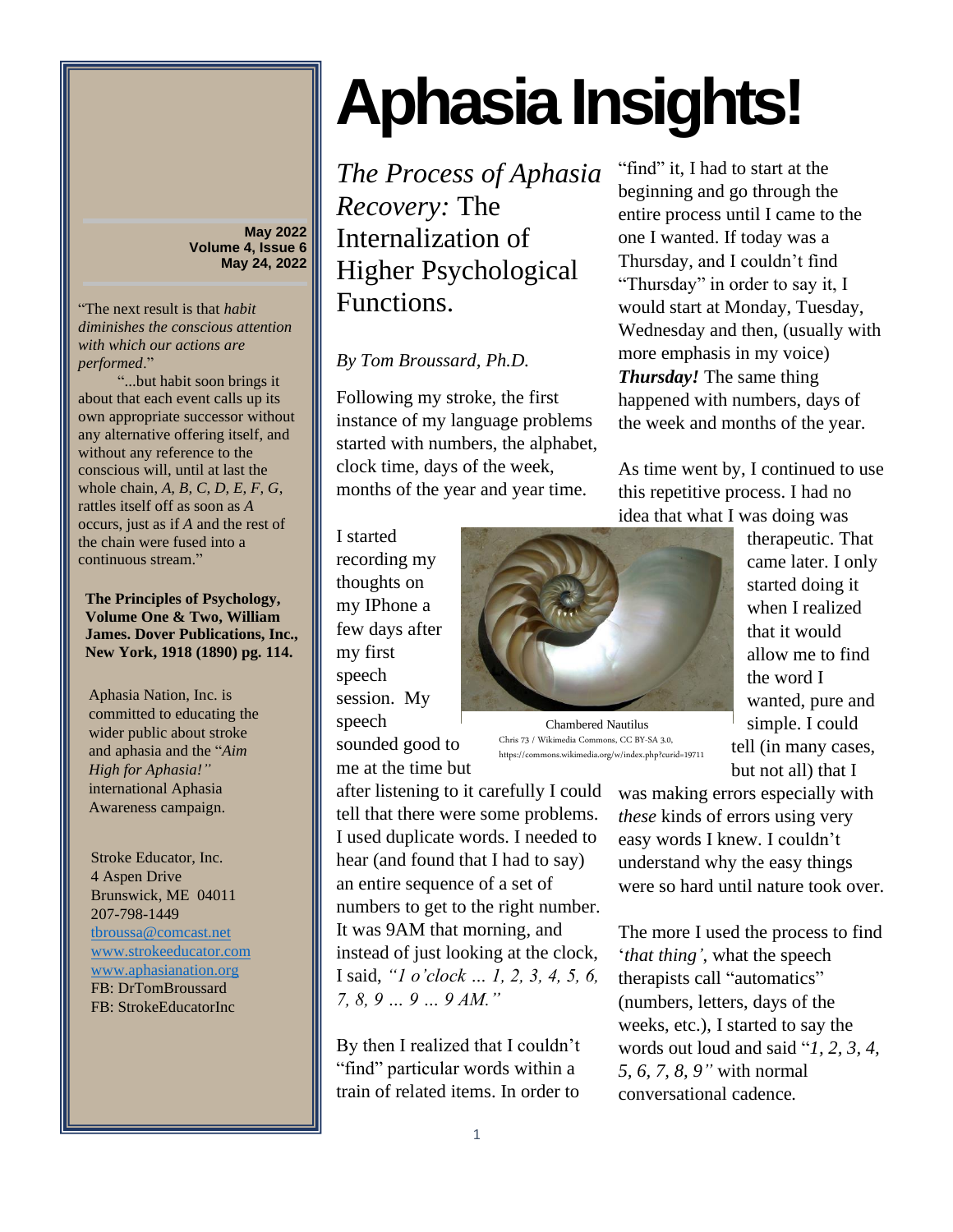**May 2022 Volume 4, Issue 6 May 24, 2022**

"The next result is that *habit diminishes the conscious attention with which our actions are performed*."

"...but habit soon brings it about that each event calls up its own appropriate successor without any alternative offering itself, and without any reference to the conscious will, until at last the whole chain, *A, B, C, D, E, F, G*, rattles itself off as soon as *A* occurs, just as if *A* and the rest of the chain were fused into a continuous stream."

**The Principles of Psychology, Volume One & Two, William James. Dover Publications, Inc., New York, 1918 (1890) pg. 114.**

Aphasia Nation, Inc. is committed to educating the wider public about stroke and aphasia and the "*Aim High for Aphasia!"* international Aphasia Awareness campaign.

Stroke Educator, Inc. 4 Aspen Drive Brunswick, ME 04011 207-798-1449 [tbroussa@comcast.net](mailto:tbroussa@comcast.net) [www.strokeeducator.com](http://www.strokeeducator.com/) [www.aphasianation.org](http://www.aphasianation.org/) FB: DrTomBroussard FB: StrokeEducatorInc

## **Aphasia Insights!**

*The Process of Aphasia Recovery:* The Internalization of Higher Psychological Functions.

## *By Tom Broussard, Ph.D.*

Following my stroke, the first instance of my language problems started with numbers, the alphabet, clock time, days of the week, months of the year and year time.

I started recording my thoughts on my IPhone a few days after my first speech session. My speech sounded good to

me at the time but

after listening to it carefully I could tell that there were some problems. I used duplicate words. I needed to hear (and found that I had to say) an entire sequence of a set of numbers to get to the right number. It was 9AM that morning, and instead of just looking at the clock, I said, *"1 o'clock … 1, 2, 3, 4, 5, 6, 7, 8, 9 … 9 … 9 AM."*

By then I realized that I couldn't "find" particular words within a train of related items. In order to

"find" it, I had to start at the beginning and go through the entire process until I came to the one I wanted. If today was a Thursday, and I couldn't find "Thursday" in order to say it, I would start at Monday, Tuesday, Wednesday and then, (usually with more emphasis in my voice) *Thursday!* The same thing happened with numbers, days of the week and months of the year.

As time went by, I continued to use this repetitive process. I had no idea that what I was doing was



Chris 73 / Wikimedia Commons, CC BY-SA 3.0, https://commons.wikimedia.org/w/index.php?curid=19711 Chambered Nautilus

therapeutic. That came later. I only started doing it when I realized that it would allow me to find the word I wanted, pure and simple. I could tell (in many cases, but not all) that I

was making errors especially with *these* kinds of errors using very easy words I knew. I couldn't understand why the easy things were so hard until nature took over.

The more I used the process to find '*that thing'*, what the speech therapists call "automatics" (numbers, letters, days of the weeks, etc.), I started to say the words out loud and said "*1, 2, 3, 4, 5, 6, 7, 8, 9"* with normal conversational cadence*.*